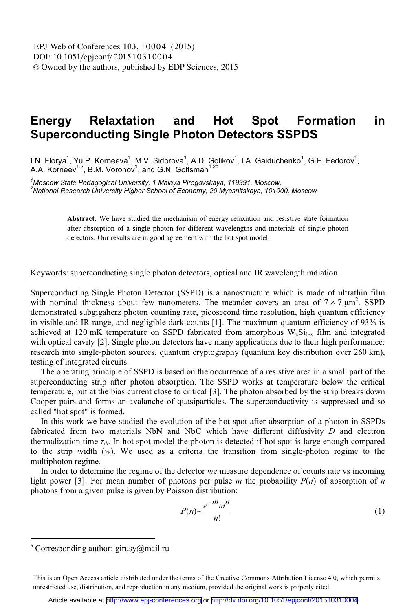## **Relaxtation** and Hot **Formation** Energy Spot in **Superconducting Single Photon Detectors SSPDS**

I.N. Florya<sup>1</sup>, Yu.P. Korneeva<sup>1</sup>, M.V. Sidorova<sup>1</sup>, A.D. Golikov<sup>1</sup>, I.A. Gaiduchenko<sup>1</sup>, G.E. Fedorov<sup>1</sup>, A.A. Korneev<sup>1,2</sup>, B.M. Voronov<sup>1</sup>, and G.N. Goltsman<sup>1,2</sup>

<sup>1</sup>Moscow State Pedagogical University, 1 Malaya Pirogovskaya, 119991, Moscow, <sup>2</sup>National Research University Higher School of Economy, 20 Myasnitskaya, 101000, Moscow

> Abstract. We have studied the mechanism of energy relaxation and resistive state formation after absorption of a single photon for different wavelengths and materials of single photon detectors. Our results are in good agreement with the hot spot model.

Keywords: superconducting single photon detectors, optical and IR wavelength radiation.

Superconducting Single Photon Detector (SSPD) is a nanostructure which is made of ultrathin film with nominal thickness about few nanometers. The meander covers an area of  $7 \times 7 \mu m^2$ . SSPD demonstrated subgigaterz photon counting rate, picosecond time resolution, high quantum efficiency in visible and IR range, and negligible dark counts [1]. The maximum quantum efficiency of 93% is achieved at 120 mK temperature on SSPD fabricated from amorphous  $W_xSi_{1-x}$  film and integrated with optical cavity [2]. Single photon detectors have many applications due to their high performance: research into single-photon sources, quantum cryptography (quantum key distribution over 260 km), testing of integrated circuits.

The operating principle of SSPD is based on the occurrence of a resistive area in a small part of the superconducting strip after photon absorption. The SSPD works at temperature below the critical temperature, but at the bias current close to critical [3]. The photon absorbed by the strip breaks down Cooper pairs and forms an avalanche of quasiparticles. The superconductivity is suppressed and so called "hot spot" is formed.

In this work we have studied the evolution of the hot spot after absorption of a photon in SSPDs fabricated from two materials NbN and NbC which have different diffusivity D and electron thermalization time  $\tau_{th}$ . In hot spot model the photon is detected if hot spot is large enough compared to the strip width  $(w)$ . We used as a criteria the transition from single-photon regime to the multiphoton regime.

In order to determine the regime of the detector we measure dependence of counts rate vs incoming light power [3]. For mean number of photons per pulse m the probability  $P(n)$  of absorption of n photons from a given pulse is given by Poisson distribution:

$$
P(n) \sim \frac{e^{-m}m^n}{n!} \tag{1}
$$

<sup>&</sup>lt;sup>a</sup> Corresponding author: girusy@mail.ru

This is an Open Access article distributed under the terms of the Creative Commons Attribution License 4.0, which permits unrestricted use, distribution, and reproduction in any medium, provided the original work is properly cited.